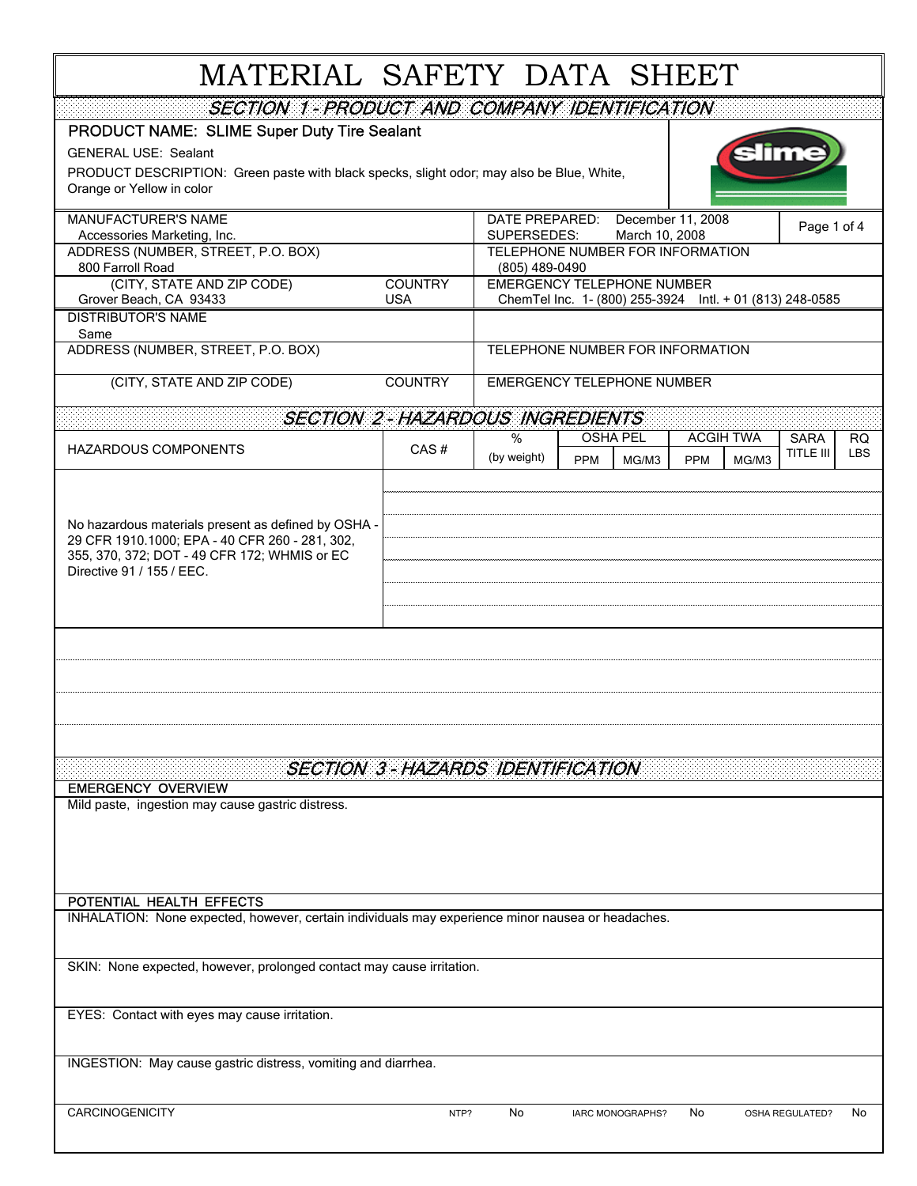## MATERIAL SAFETY DATA SHEET

| SECTION 1 - PRODUCT AND COMPANY IDENTIFICATION                                                                                |                                         |                                                                                               |                     |                     |                 |            |  |
|-------------------------------------------------------------------------------------------------------------------------------|-----------------------------------------|-----------------------------------------------------------------------------------------------|---------------------|---------------------|-----------------|------------|--|
| PRODUCT NAME: SLIME Super Duty Tire Sealant                                                                                   |                                         |                                                                                               |                     |                     |                 |            |  |
| <b>GENERAL USE: Sealant</b>                                                                                                   |                                         |                                                                                               |                     |                     |                 |            |  |
| PRODUCT DESCRIPTION: Green paste with black specks, slight odor; may also be Blue, White,                                     |                                         |                                                                                               |                     |                     |                 |            |  |
| Orange or Yellow in color                                                                                                     |                                         |                                                                                               |                     |                     |                 |            |  |
| MANUFACTURER'S NAME                                                                                                           |                                         | DATE PREPARED:                                                                                |                     | December 11, 2008   |                 |            |  |
| Accessories Marketing, Inc.                                                                                                   |                                         | Page 1 of 4<br>SUPERSEDES:<br>March 10, 2008                                                  |                     |                     |                 |            |  |
| ADDRESS (NUMBER, STREET, P.O. BOX)                                                                                            |                                         | TELEPHONE NUMBER FOR INFORMATION                                                              |                     |                     |                 |            |  |
| 800 Farroll Road                                                                                                              |                                         | (805) 489-0490                                                                                |                     |                     |                 |            |  |
| (CITY, STATE AND ZIP CODE)<br>Grover Beach, CA 93433                                                                          | <b>COUNTRY</b><br><b>USA</b>            | <b>EMERGENCY TELEPHONE NUMBER</b><br>ChemTel Inc. 1- (800) 255-3924 Intl. + 01 (813) 248-0585 |                     |                     |                 |            |  |
| <b>DISTRIBUTOR'S NAME</b>                                                                                                     |                                         |                                                                                               |                     |                     |                 |            |  |
| Same                                                                                                                          |                                         |                                                                                               |                     |                     |                 |            |  |
| ADDRESS (NUMBER, STREET, P.O. BOX)                                                                                            |                                         | TELEPHONE NUMBER FOR INFORMATION                                                              |                     |                     |                 |            |  |
| (CITY, STATE AND ZIP CODE)<br><b>COUNTRY</b>                                                                                  |                                         | <b>EMERGENCY TELEPHONE NUMBER</b>                                                             |                     |                     |                 |            |  |
|                                                                                                                               |                                         |                                                                                               |                     |                     |                 |            |  |
| <b>SECTION 2-HAZARDOUS INGREDIENTS</b>                                                                                        |                                         |                                                                                               |                     |                     |                 |            |  |
| <b>HAZARDOUS COMPONENTS</b>                                                                                                   | CAS#                                    | %                                                                                             | <b>OSHA PEL</b>     | <b>ACGIH TWA</b>    | <b>SARA</b>     | RQ.        |  |
|                                                                                                                               |                                         | (by weight)                                                                                   | <b>PPM</b><br>MG/M3 | MG/M3<br><b>PPM</b> | TITLE III       | <b>LBS</b> |  |
|                                                                                                                               |                                         |                                                                                               |                     |                     |                 |            |  |
|                                                                                                                               |                                         |                                                                                               |                     |                     |                 |            |  |
| No hazardous materials present as defined by OSHA -                                                                           |                                         |                                                                                               |                     |                     |                 |            |  |
| 29 CFR 1910.1000; EPA - 40 CFR 260 - 281, 302,                                                                                |                                         |                                                                                               |                     |                     |                 |            |  |
| 355, 370, 372; DOT - 49 CFR 172; WHMIS or EC<br>Directive 91 / 155 / EEC.                                                     |                                         |                                                                                               |                     |                     |                 |            |  |
|                                                                                                                               |                                         |                                                                                               |                     |                     |                 |            |  |
|                                                                                                                               |                                         |                                                                                               |                     |                     |                 |            |  |
|                                                                                                                               |                                         |                                                                                               |                     |                     |                 |            |  |
|                                                                                                                               |                                         |                                                                                               |                     |                     |                 |            |  |
|                                                                                                                               |                                         |                                                                                               |                     |                     |                 |            |  |
|                                                                                                                               |                                         |                                                                                               |                     |                     |                 |            |  |
|                                                                                                                               |                                         |                                                                                               |                     |                     |                 |            |  |
|                                                                                                                               |                                         |                                                                                               |                     |                     |                 |            |  |
|                                                                                                                               |                                         |                                                                                               |                     |                     |                 |            |  |
|                                                                                                                               | <b>SECTION 3-HAZARDS IDENTIFICATION</b> |                                                                                               |                     |                     |                 |            |  |
| <b>EMERGENCY OVERVIEW</b>                                                                                                     |                                         |                                                                                               |                     |                     |                 |            |  |
| Mild paste, ingestion may cause gastric distress.                                                                             |                                         |                                                                                               |                     |                     |                 |            |  |
|                                                                                                                               |                                         |                                                                                               |                     |                     |                 |            |  |
|                                                                                                                               |                                         |                                                                                               |                     |                     |                 |            |  |
|                                                                                                                               |                                         |                                                                                               |                     |                     |                 |            |  |
|                                                                                                                               |                                         |                                                                                               |                     |                     |                 |            |  |
| POTENTIAL HEALTH EFFECTS<br>INHALATION: None expected, however, certain individuals may experience minor nausea or headaches. |                                         |                                                                                               |                     |                     |                 |            |  |
|                                                                                                                               |                                         |                                                                                               |                     |                     |                 |            |  |
|                                                                                                                               |                                         |                                                                                               |                     |                     |                 |            |  |
| SKIN: None expected, however, prolonged contact may cause irritation.                                                         |                                         |                                                                                               |                     |                     |                 |            |  |
|                                                                                                                               |                                         |                                                                                               |                     |                     |                 |            |  |
| EYES: Contact with eyes may cause irritation.                                                                                 |                                         |                                                                                               |                     |                     |                 |            |  |
|                                                                                                                               |                                         |                                                                                               |                     |                     |                 |            |  |
|                                                                                                                               |                                         |                                                                                               |                     |                     |                 |            |  |
| INGESTION: May cause gastric distress, vomiting and diarrhea.                                                                 |                                         |                                                                                               |                     |                     |                 |            |  |
|                                                                                                                               |                                         |                                                                                               |                     |                     |                 |            |  |
| CARCINOGENICITY                                                                                                               | NTP?                                    | No                                                                                            | IARC MONOGRAPHS?    | No                  | OSHA REGULATED? | No         |  |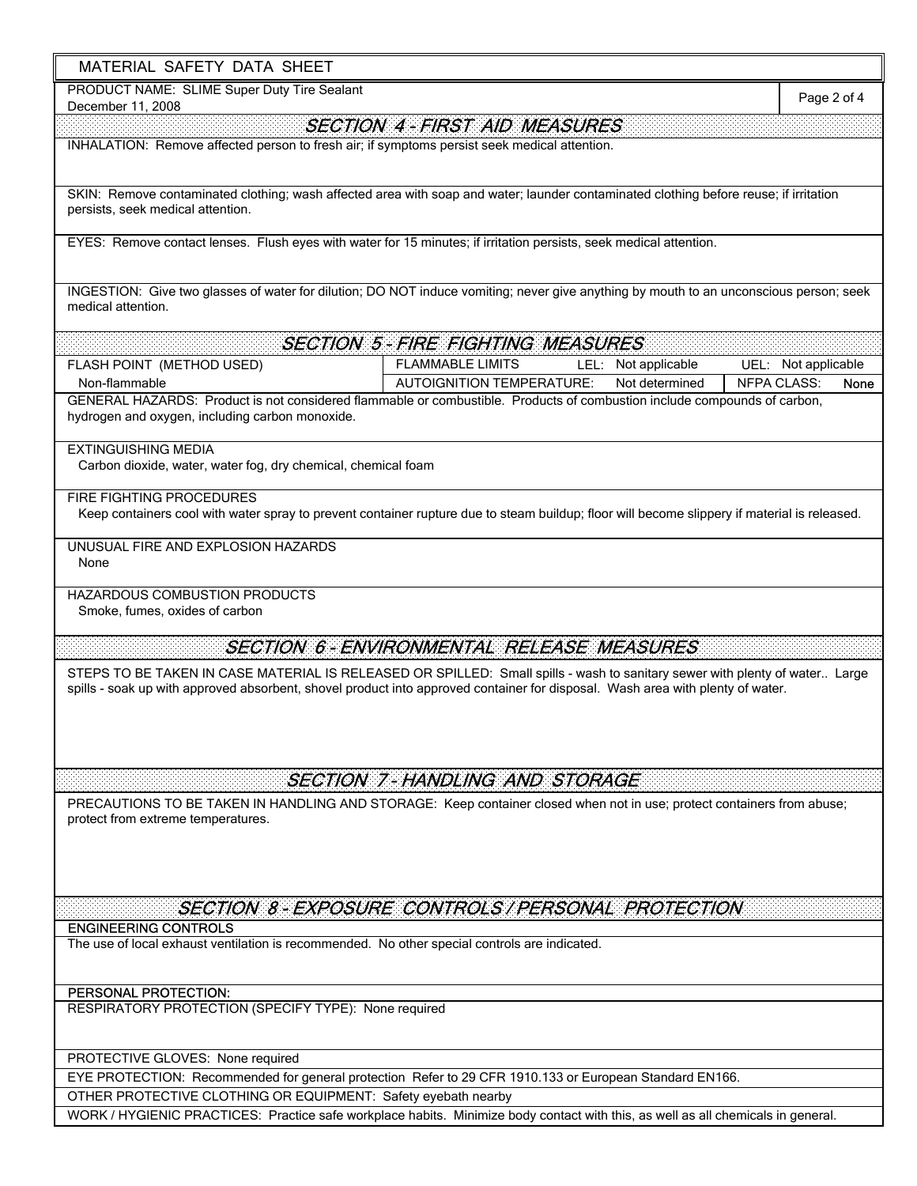| MATERIAL SAFETY DATA SHEET                                                                                                   |                                                                                                                                                                                                                                                               |                            |
|------------------------------------------------------------------------------------------------------------------------------|---------------------------------------------------------------------------------------------------------------------------------------------------------------------------------------------------------------------------------------------------------------|----------------------------|
| PRODUCT NAME: SLIME Super Duty Tire Sealant<br>December 11, 2008                                                             |                                                                                                                                                                                                                                                               | Page 2 of 4                |
|                                                                                                                              | <b>SECTION 4 - FIRST AID MEASURES</b>                                                                                                                                                                                                                         |                            |
| INHALATION: Remove affected person to fresh air; if symptoms persist seek medical attention.                                 |                                                                                                                                                                                                                                                               |                            |
| persists, seek medical attention.                                                                                            | SKIN: Remove contaminated clothing; wash affected area with soap and water; launder contaminated clothing before reuse; if irritation                                                                                                                         |                            |
|                                                                                                                              | EYES: Remove contact lenses. Flush eyes with water for 15 minutes; if irritation persists, seek medical attention.                                                                                                                                            |                            |
| medical attention.                                                                                                           | INGESTION: Give two glasses of water for dilution; DO NOT induce vomiting; never give anything by mouth to an unconscious person; seek                                                                                                                        |                            |
|                                                                                                                              | <b>SECTION 5-FIRE FIGHTING MEASURES</b>                                                                                                                                                                                                                       |                            |
| FLASH POINT (METHOD USED)                                                                                                    | <b>FLAMMABLE LIMITS</b><br>LEL: Not applicable                                                                                                                                                                                                                | UEL: Not applicable        |
| Non-flammable                                                                                                                | Not determined<br><b>AUTOIGNITION TEMPERATURE:</b>                                                                                                                                                                                                            | <b>NFPA CLASS:</b><br>None |
| hydrogen and oxygen, including carbon monoxide.                                                                              | GENERAL HAZARDS: Product is not considered flammable or combustible. Products of combustion include compounds of carbon,                                                                                                                                      |                            |
| <b>EXTINGUISHING MEDIA</b>                                                                                                   |                                                                                                                                                                                                                                                               |                            |
| Carbon dioxide, water, water fog, dry chemical, chemical foam                                                                |                                                                                                                                                                                                                                                               |                            |
| <b>FIRE FIGHTING PROCEDURES</b>                                                                                              |                                                                                                                                                                                                                                                               |                            |
|                                                                                                                              | Keep containers cool with water spray to prevent container rupture due to steam buildup; floor will become slippery if material is released.                                                                                                                  |                            |
| UNUSUAL FIRE AND EXPLOSION HAZARDS<br>None                                                                                   |                                                                                                                                                                                                                                                               |                            |
| HAZARDOUS COMBUSTION PRODUCTS<br>Smoke, fumes, oxides of carbon                                                              |                                                                                                                                                                                                                                                               |                            |
|                                                                                                                              | SECTION 6- ENVIRONMENTAL RELEASE MEASURES                                                                                                                                                                                                                     |                            |
|                                                                                                                              | STEPS TO BE TAKEN IN CASE MATERIAL IS RELEASED OR SPILLED: Small spills - wash to sanitary sewer with plenty of water Large<br>spills - soak up with approved absorbent, shovel product into approved container for disposal. Wash area with plenty of water. |                            |
|                                                                                                                              | <b>SECTION 7-HANDLING AND STORAGE</b>                                                                                                                                                                                                                         |                            |
| protect from extreme temperatures.                                                                                           | PRECAUTIONS TO BE TAKEN IN HANDLING AND STORAGE: Keep container closed when not in use; protect containers from abuse;                                                                                                                                        |                            |
|                                                                                                                              | SECTION 8 - EXPOSURE CONTROLS / PERSONAL PROTECTION                                                                                                                                                                                                           |                            |
| <b>ENGINEERING CONTROLS</b><br>The use of local exhaust ventilation is recommended. No other special controls are indicated. |                                                                                                                                                                                                                                                               |                            |
| PERSONAL PROTECTION:                                                                                                         |                                                                                                                                                                                                                                                               |                            |
| RESPIRATORY PROTECTION (SPECIFY TYPE): None required                                                                         |                                                                                                                                                                                                                                                               |                            |
| PROTECTIVE GLOVES: None required                                                                                             |                                                                                                                                                                                                                                                               |                            |
|                                                                                                                              | EYE PROTECTION: Recommended for general protection Refer to 29 CFR 1910.133 or European Standard EN166.                                                                                                                                                       |                            |

٦

OTHER PROTECTIVE CLOTHING OR EQUIPMENT: Safety eyebath nearby

 $\blacksquare$ 

WORK / HYGIENIC PRACTICES: Practice safe workplace habits. Minimize body contact with this, as well as all chemicals in general.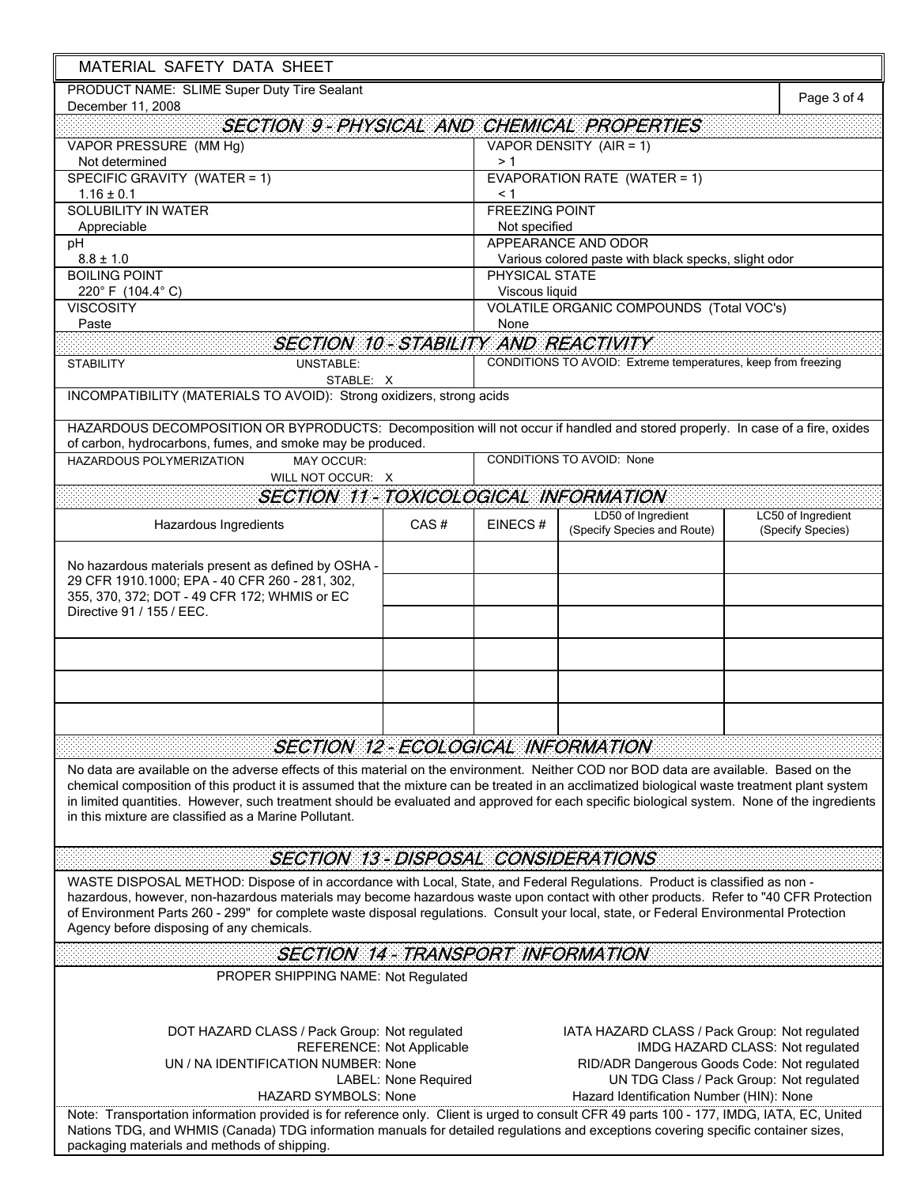| MATERIAL SAFETY DATA SHEET                                                                                                                                                                                                                                                                                                                                                                                                                                 |                                                         |                                                      |                                                               |                                         |  |
|------------------------------------------------------------------------------------------------------------------------------------------------------------------------------------------------------------------------------------------------------------------------------------------------------------------------------------------------------------------------------------------------------------------------------------------------------------|---------------------------------------------------------|------------------------------------------------------|---------------------------------------------------------------|-----------------------------------------|--|
| PRODUCT NAME: SLIME Super Duty Tire Sealant                                                                                                                                                                                                                                                                                                                                                                                                                |                                                         |                                                      |                                                               |                                         |  |
| December 11, 2008                                                                                                                                                                                                                                                                                                                                                                                                                                          |                                                         |                                                      |                                                               | Page 3 of 4                             |  |
| <b>SECTION 9-PHYSICAL AND CHEMICAL PROPERTIES</b>                                                                                                                                                                                                                                                                                                                                                                                                          |                                                         |                                                      |                                                               |                                         |  |
| VAPOR PRESSURE (MM Hg)                                                                                                                                                                                                                                                                                                                                                                                                                                     | VAPOR DENSITY (AIR = 1)                                 |                                                      |                                                               |                                         |  |
| Not determined                                                                                                                                                                                                                                                                                                                                                                                                                                             |                                                         | >1                                                   |                                                               |                                         |  |
| SPECIFIC GRAVITY (WATER = 1)                                                                                                                                                                                                                                                                                                                                                                                                                               |                                                         | EVAPORATION RATE (WATER = 1)                         |                                                               |                                         |  |
| $1.16 \pm 0.1$<br><b>SOLUBILITY IN WATER</b>                                                                                                                                                                                                                                                                                                                                                                                                               |                                                         | $\leq 1$                                             |                                                               |                                         |  |
| Appreciable                                                                                                                                                                                                                                                                                                                                                                                                                                                | <b>FREEZING POINT</b><br>Not specified                  |                                                      |                                                               |                                         |  |
| pH                                                                                                                                                                                                                                                                                                                                                                                                                                                         | APPEARANCE AND ODOR                                     |                                                      |                                                               |                                         |  |
| $8.8 \pm 1.0$                                                                                                                                                                                                                                                                                                                                                                                                                                              |                                                         | Various colored paste with black specks, slight odor |                                                               |                                         |  |
| <b>BOILING POINT</b>                                                                                                                                                                                                                                                                                                                                                                                                                                       |                                                         | PHYSICAL STATE                                       |                                                               |                                         |  |
| 220° F (104.4° C)                                                                                                                                                                                                                                                                                                                                                                                                                                          |                                                         | Viscous liquid                                       |                                                               |                                         |  |
| <b>VISCOSITY</b><br>Paste                                                                                                                                                                                                                                                                                                                                                                                                                                  | <b>VOLATILE ORGANIC COMPOUNDS (Total VOC's)</b><br>None |                                                      |                                                               |                                         |  |
| SECTION 10-STABILITY AND REACTIVITY                                                                                                                                                                                                                                                                                                                                                                                                                        |                                                         |                                                      |                                                               |                                         |  |
|                                                                                                                                                                                                                                                                                                                                                                                                                                                            |                                                         |                                                      |                                                               |                                         |  |
| <b>STABILITY</b><br><b>UNSTABLE:</b>                                                                                                                                                                                                                                                                                                                                                                                                                       |                                                         |                                                      | CONDITIONS TO AVOID: Extreme temperatures, keep from freezing |                                         |  |
| STABLE: X<br>INCOMPATIBILITY (MATERIALS TO AVOID): Strong oxidizers, strong acids                                                                                                                                                                                                                                                                                                                                                                          |                                                         |                                                      |                                                               |                                         |  |
|                                                                                                                                                                                                                                                                                                                                                                                                                                                            |                                                         |                                                      |                                                               |                                         |  |
| HAZARDOUS DECOMPOSITION OR BYPRODUCTS: Decomposition will not occur if handled and stored properly. In case of a fire, oxides                                                                                                                                                                                                                                                                                                                              |                                                         |                                                      |                                                               |                                         |  |
| of carbon, hydrocarbons, fumes, and smoke may be produced.                                                                                                                                                                                                                                                                                                                                                                                                 |                                                         |                                                      |                                                               |                                         |  |
| HAZARDOUS POLYMERIZATION<br><b>MAY OCCUR:</b>                                                                                                                                                                                                                                                                                                                                                                                                              |                                                         |                                                      | CONDITIONS TO AVOID: None                                     |                                         |  |
| WILL NOT OCCUR: X                                                                                                                                                                                                                                                                                                                                                                                                                                          |                                                         |                                                      |                                                               |                                         |  |
| SECTION 11 - TOXICOLOGICAL INFORMATION                                                                                                                                                                                                                                                                                                                                                                                                                     |                                                         |                                                      |                                                               |                                         |  |
| Hazardous Ingredients                                                                                                                                                                                                                                                                                                                                                                                                                                      | CAS#                                                    | EINECS#                                              | LD50 of Ingredient<br>(Specify Species and Route)             | LC50 of Ingredient<br>(Specify Species) |  |
|                                                                                                                                                                                                                                                                                                                                                                                                                                                            |                                                         |                                                      |                                                               |                                         |  |
| No hazardous materials present as defined by OSHA -<br>29 CFR 1910.1000; EPA - 40 CFR 260 - 281, 302,<br>355, 370, 372; DOT - 49 CFR 172; WHMIS or EC<br>Directive 91 / 155 / EEC.                                                                                                                                                                                                                                                                         |                                                         |                                                      |                                                               |                                         |  |
|                                                                                                                                                                                                                                                                                                                                                                                                                                                            |                                                         |                                                      |                                                               |                                         |  |
|                                                                                                                                                                                                                                                                                                                                                                                                                                                            |                                                         |                                                      |                                                               |                                         |  |
|                                                                                                                                                                                                                                                                                                                                                                                                                                                            |                                                         |                                                      |                                                               |                                         |  |
|                                                                                                                                                                                                                                                                                                                                                                                                                                                            |                                                         |                                                      |                                                               |                                         |  |
|                                                                                                                                                                                                                                                                                                                                                                                                                                                            |                                                         |                                                      |                                                               |                                         |  |
|                                                                                                                                                                                                                                                                                                                                                                                                                                                            |                                                         |                                                      |                                                               |                                         |  |
| <b>SECTION 12 - ECOLOGICAL INFORMATION</b>                                                                                                                                                                                                                                                                                                                                                                                                                 |                                                         |                                                      |                                                               |                                         |  |
| No data are available on the adverse effects of this material on the environment. Neither COD nor BOD data are available. Based on the                                                                                                                                                                                                                                                                                                                     |                                                         |                                                      |                                                               |                                         |  |
| chemical composition of this product it is assumed that the mixture can be treated in an acclimatized biological waste treatment plant system<br>in limited quantities. However, such treatment should be evaluated and approved for each specific biological system. None of the ingredients<br>in this mixture are classified as a Marine Pollutant.                                                                                                     |                                                         |                                                      |                                                               |                                         |  |
| <b>SECTION 13 - DISPOSAL CONSIDERATIONS</b>                                                                                                                                                                                                                                                                                                                                                                                                                |                                                         |                                                      |                                                               |                                         |  |
| WASTE DISPOSAL METHOD: Dispose of in accordance with Local, State, and Federal Regulations. Product is classified as non -<br>hazardous, however, non-hazardous materials may become hazardous waste upon contact with other products. Refer to "40 CFR Protection<br>of Environment Parts 260 - 299" for complete waste disposal regulations. Consult your local, state, or Federal Environmental Protection<br>Agency before disposing of any chemicals. |                                                         |                                                      |                                                               |                                         |  |
| <b>SECTION 14 - TRANSPORT INFORMATION</b>                                                                                                                                                                                                                                                                                                                                                                                                                  |                                                         |                                                      |                                                               |                                         |  |
| PROPER SHIPPING NAME: Not Regulated                                                                                                                                                                                                                                                                                                                                                                                                                        |                                                         |                                                      |                                                               |                                         |  |
|                                                                                                                                                                                                                                                                                                                                                                                                                                                            |                                                         |                                                      |                                                               |                                         |  |
| DOT HAZARD CLASS / Pack Group: Not regulated                                                                                                                                                                                                                                                                                                                                                                                                               |                                                         |                                                      | IATA HAZARD CLASS / Pack Group: Not regulated                 |                                         |  |
| <b>REFERENCE: Not Applicable</b><br>IMDG HAZARD CLASS: Not regulated                                                                                                                                                                                                                                                                                                                                                                                       |                                                         |                                                      |                                                               |                                         |  |
| UN / NA IDENTIFICATION NUMBER: None<br>RID/ADR Dangerous Goods Code: Not regulated                                                                                                                                                                                                                                                                                                                                                                         |                                                         |                                                      |                                                               |                                         |  |
| LABEL: None Required<br>UN TDG Class / Pack Group: Not regulated                                                                                                                                                                                                                                                                                                                                                                                           |                                                         |                                                      |                                                               |                                         |  |
| HAZARD SYMBOLS: None<br>Hazard Identification Number (HIN): None<br>Note: Transportation information provided is for reference only. Client is urged to consult CFR 49 parts 100 - 177, IMDG, IATA, EC, United                                                                                                                                                                                                                                             |                                                         |                                                      |                                                               |                                         |  |
| Nations TDG, and WHMIS (Canada) TDG information manuals for detailed regulations and exceptions covering specific container sizes,<br>packaging materials and methods of shipping                                                                                                                                                                                                                                                                          |                                                         |                                                      |                                                               |                                         |  |

packaging materials and methods of shipping.